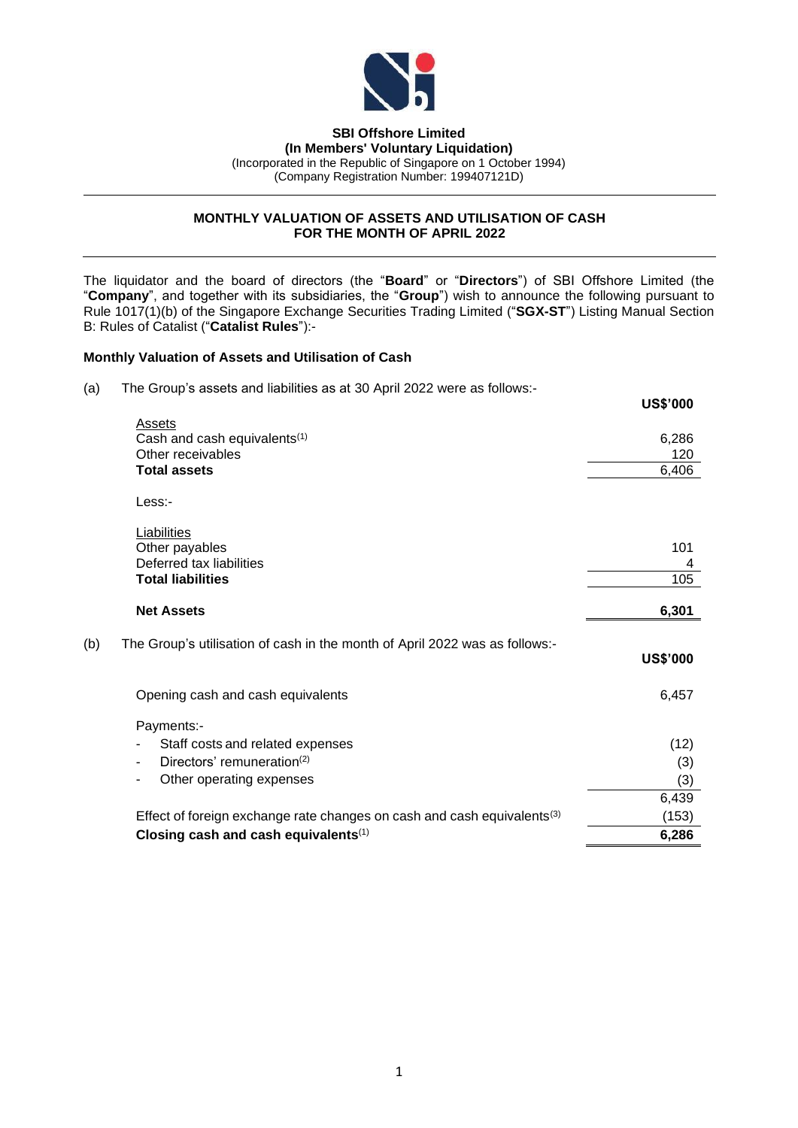

# **SBI Offshore Limited**

**(In Members' Voluntary Liquidation)** (Incorporated in the Republic of Singapore on 1 October 1994) (Company Registration Number: 199407121D)

## **MONTHLY VALUATION OF ASSETS AND UTILISATION OF CASH FOR THE MONTH OF APRIL 2022**

The liquidator and the board of directors (the "**Board**" or "**Directors**") of SBI Offshore Limited (the "**Company**", and together with its subsidiaries, the "**Group**") wish to announce the following pursuant to Rule 1017(1)(b) of the Singapore Exchange Securities Trading Limited ("**SGX-ST**") Listing Manual Section B: Rules of Catalist ("**Catalist Rules**"):-

# **Monthly Valuation of Assets and Utilisation of Cash**

(a) The Group's assets and liabilities as at 30 April 2022 were as follows:-

|     |                                                                                     | <b>US\$'000</b> |
|-----|-------------------------------------------------------------------------------------|-----------------|
|     | Assets                                                                              |                 |
|     | Cash and cash equivalents <sup>(1)</sup>                                            | 6,286           |
|     | Other receivables                                                                   | 120             |
|     | <b>Total assets</b>                                                                 | 6,406           |
|     | Less:-                                                                              |                 |
|     | Liabilities                                                                         |                 |
|     | Other payables                                                                      | 101             |
|     | Deferred tax liabilities                                                            | 4               |
|     | <b>Total liabilities</b>                                                            | 105             |
|     | <b>Net Assets</b>                                                                   | 6,301           |
| (b) | The Group's utilisation of cash in the month of April 2022 was as follows:-         |                 |
|     |                                                                                     | <b>US\$'000</b> |
|     | Opening cash and cash equivalents                                                   | 6,457           |
|     | Payments:-                                                                          |                 |
|     | Staff costs and related expenses                                                    | (12)            |
|     | Directors' remuneration <sup>(2)</sup><br>۰                                         | (3)             |
|     | Other operating expenses<br>۰                                                       | (3)             |
|     |                                                                                     | 6,439           |
|     |                                                                                     |                 |
|     | Effect of foreign exchange rate changes on cash and cash equivalents <sup>(3)</sup> | (153)           |
|     | Closing cash and cash equivalents(1)                                                | 6,286           |